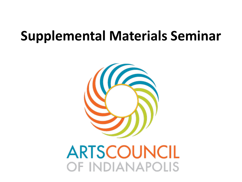#### **Supplemental Materials Seminar**



**ARTSCOUNCIL** OF INDIANAPOLIS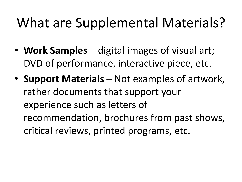## What are Supplemental Materials?

- **Work Samples**  digital images of visual art; DVD of performance, interactive piece, etc.
- **Support Materials**  Not examples of artwork, rather documents that support your experience such as letters of recommendation, brochures from past shows, critical reviews, printed programs, etc.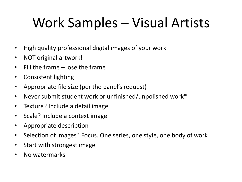# Work Samples – Visual Artists

- High quality professional digital images of your work
- NOT original artwork!
- Fill the frame lose the frame
- Consistent lighting
- Appropriate file size (per the panel's request)
- Never submit student work or unfinished/unpolished work\*
- Texture? Include a detail image
- Scale? Include a context image
- Appropriate description
- Selection of images? Focus. One series, one style, one body of work
- Start with strongest image
- No watermarks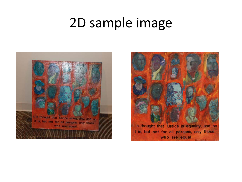### 2D sample image



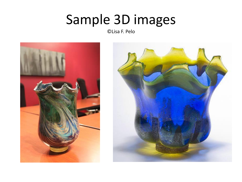## Sample 3D images

©Lisa F. Pelo



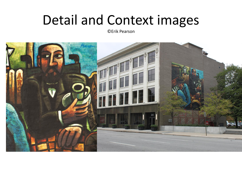#### Detail and Context images

©Erik Pearson

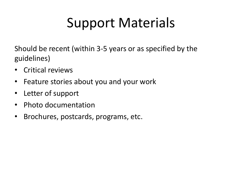# Support Materials

Should be recent (within 3-5 years or as specified by the guidelines)

- Critical reviews
- Feature stories about you and your work
- Letter of support
- Photo documentation
- Brochures, postcards, programs, etc.